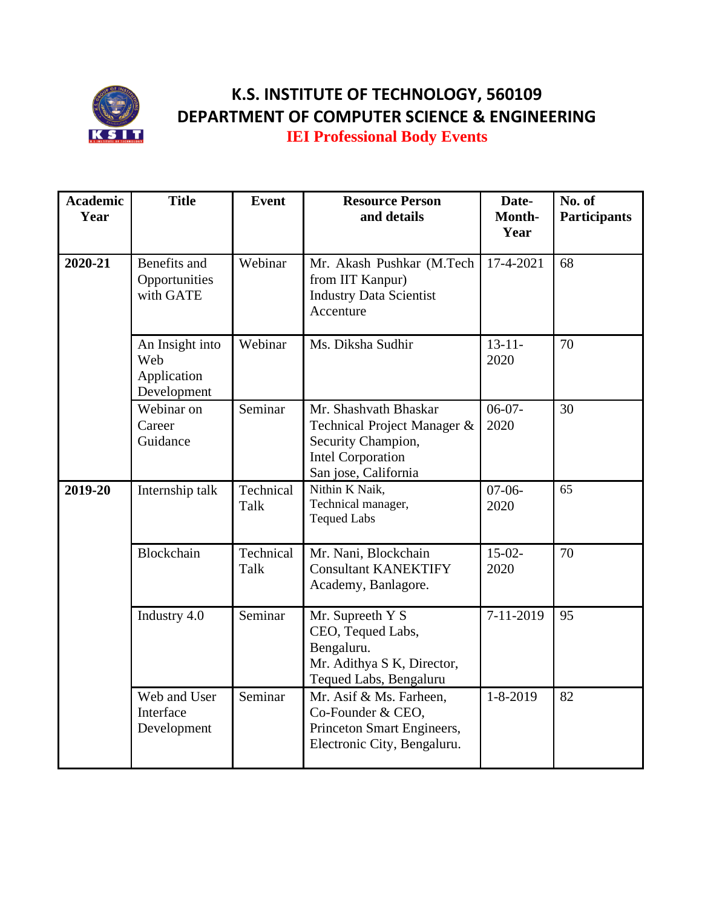

## **K.S. INSTITUTE OF TECHNOLOGY, 560109 DEPARTMENT OF COMPUTER SCIENCE & ENGINEERING**

**IEI Professional Body Events**

| <b>Academic</b><br>Year | <b>Title</b>                                         | <b>Event</b>      | <b>Resource Person</b><br>and details                                                                                          | Date-<br>Month-<br>Year | No. of<br><b>Participants</b> |
|-------------------------|------------------------------------------------------|-------------------|--------------------------------------------------------------------------------------------------------------------------------|-------------------------|-------------------------------|
| 2020-21                 | Benefits and<br>Opportunities<br>with GATE           | Webinar           | Mr. Akash Pushkar (M.Tech<br>from IIT Kanpur)<br><b>Industry Data Scientist</b><br>Accenture                                   | 17-4-2021               | 68                            |
|                         | An Insight into<br>Web<br>Application<br>Development | Webinar           | Ms. Diksha Sudhir                                                                                                              | $13 - 11 -$<br>2020     | 70                            |
|                         | Webinar on<br>Career<br>Guidance                     | Seminar           | Mr. Shashvath Bhaskar<br>Technical Project Manager &<br>Security Champion,<br><b>Intel Corporation</b><br>San jose, California | $06-07-$<br>2020        | 30                            |
| 2019-20                 | Internship talk                                      | Technical<br>Talk | Nithin K Naik,<br>Technical manager,<br><b>Tequed Labs</b>                                                                     | $07-06-$<br>2020        | 65                            |
|                         | Blockchain                                           | Technical<br>Talk | Mr. Nani, Blockchain<br><b>Consultant KANEKTIFY</b><br>Academy, Banlagore.                                                     | $15-02-$<br>2020        | 70                            |
|                         | Industry 4.0                                         | Seminar           | Mr. Supreeth Y S<br>CEO, Tequed Labs,<br>Bengaluru.<br>Mr. Adithya S K, Director,<br>Tequed Labs, Bengaluru                    | $7-11-2019$             | 95                            |
|                         | Web and User<br>Interface<br>Development             | Seminar           | Mr. Asif & Ms. Farheen,<br>Co-Founder & CEO,<br>Princeton Smart Engineers,<br>Electronic City, Bengaluru.                      | $1 - 8 - 2019$          | 82                            |